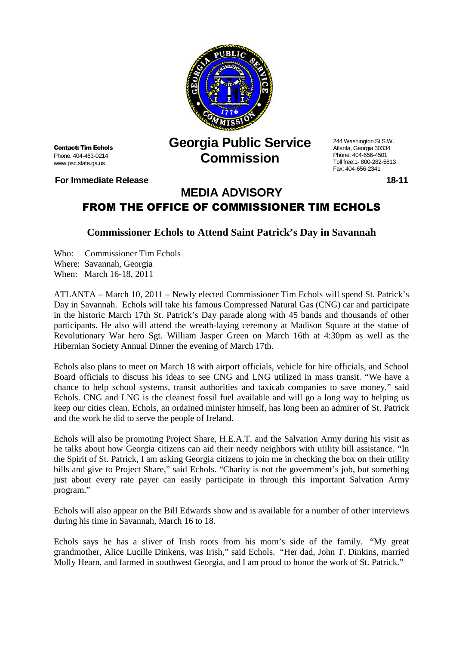

Contact: Tim Echols Phone: 404-463-0214 www.psc.state.ga.us

**For Immediate Release 18-11 18-11** 

## **Georgia Public Service Commission**

244 Washington St S.W. Atlanta, Georgia 30334 Phone: 404-656-4501 Toll free:1- 800-282-5813 Fax: 404-656-2341

## **MEDIA ADVISORY** FROM THE OFFICE OF COMMISSIONER TIM ECHOLS

## **Commissioner Echols to Attend Saint Patrick's Day in Savannah**

Who: Commissioner Tim Echols Where: Savannah, Georgia When: March 16-18, 2011

ATLANTA – March 10, 2011 – Newly elected Commissioner Tim Echols will spend St. Patrick's Day in Savannah. Echols will take his famous Compressed Natural Gas (CNG) car and participate in the historic March 17th St. Patrick's Day parade along with 45 bands and thousands of other participants. He also will attend the wreath-laying ceremony at Madison Square at the statue of Revolutionary War hero Sgt. William Jasper Green on March 16th at 4:30pm as well as the Hibernian Society Annual Dinner the evening of March 17th.

Echols also plans to meet on March 18 with airport officials, vehicle for hire officials, and School Board officials to discuss his ideas to see CNG and LNG utilized in mass transit. "We have a chance to help school systems, transit authorities and taxicab companies to save money," said Echols. CNG and LNG is the cleanest fossil fuel available and will go a long way to helping us keep our cities clean. Echols, an ordained minister himself, has long been an admirer of St. Patrick and the work he did to serve the people of Ireland.

Echols will also be promoting Project Share, H.E.A.T. and the Salvation Army during his visit as he talks about how Georgia citizens can aid their needy neighbors with utility bill assistance. "In the Spirit of St. Patrick, I am asking Georgia citizens to join me in checking the box on their utility bills and give to Project Share," said Echols. "Charity is not the government's job, but something just about every rate payer can easily participate in through this important Salvation Army program."

Echols will also appear on the Bill Edwards show and is available for a number of other interviews during his time in Savannah, March 16 to 18.

Echols says he has a sliver of Irish roots from his mom's side of the family. "My great grandmother, Alice Lucille Dinkens, was Irish," said Echols. "Her dad, John T. Dinkins, married Molly Hearn, and farmed in southwest Georgia, and I am proud to honor the work of St. Patrick."